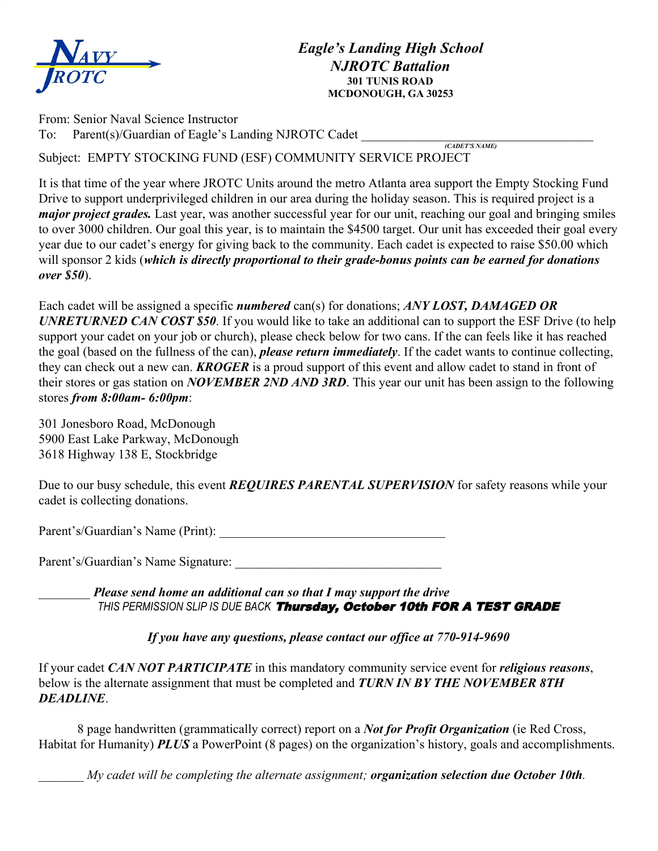

From: Senior Naval Science Instructor To: Parent(s)/Guardian of Eagle's Landing NJROTC Cadet

 *(CADET'S NAME)* Subject: EMPTY STOCKING FUND (ESF) COMMUNITY SERVICE PROJECT

It is that time of the year where JROTC Units around the metro Atlanta area support the Empty Stocking Fund Drive to support underprivileged children in our area during the holiday season. This is required project is a *major project grades.* Last year, was another successful year for our unit, reaching our goal and bringing smiles to over 3000 children. Our goal this year, is to maintain the \$4500 target. Our unit has exceeded their goal every year due to our cadet's energy for giving back to the community. Each cadet is expected to raise \$50.00 which will sponsor 2 kids (*which is directly proportional to their grade-bonus points can be earned for donations over \$50*).

Each cadet will be assigned a specific *numbered* can(s) for donations; *ANY LOST, DAMAGED OR UNRETURNED CAN COST \$50*. If you would like to take an additional can to support the ESF Drive (to help support your cadet on your job or church), please check below for two cans. If the can feels like it has reached the goal (based on the fullness of the can), *please return immediately*. If the cadet wants to continue collecting, they can check out a new can. *KROGER* is a proud support of this event and allow cadet to stand in front of their stores or gas station on *NOVEMBER 2ND AND 3RD*. This year our unit has been assign to the following stores *from 8:00am- 6:00pm*:

301 Jonesboro Road, McDonough 5900 East Lake Parkway, McDonough 3618 Highway 138 E, Stockbridge

Due to our busy schedule, this event *REQUIRES PARENTAL SUPERVISION* for safety reasons while your cadet is collecting donations.

Parent's/Guardian's Name (Print):

Parent's/Guardian's Name Signature:

\_\_\_\_\_\_\_\_ *Please send home an additional can so that I may support the drive THIS PERMISSION SLIP IS DUE BACK* Thursday, October 10th FOR A TEST GRADE

*If you have any questions, please contact our office at 770-914-9690*

If your cadet *CAN NOT PARTICIPATE* in this mandatory community service event for *religious reasons*, below is the alternate assignment that must be completed and *TURN IN BY THE NOVEMBER 8TH DEADLINE*.

8 page handwritten (grammatically correct) report on a *Not for Profit Organization* (ie Red Cross, Habitat for Humanity) *PLUS* a PowerPoint (8 pages) on the organization's history, goals and accomplishments.

\_\_\_\_\_\_\_ *My cadet will be completing the alternate assignment; organization selection due October 10th.*